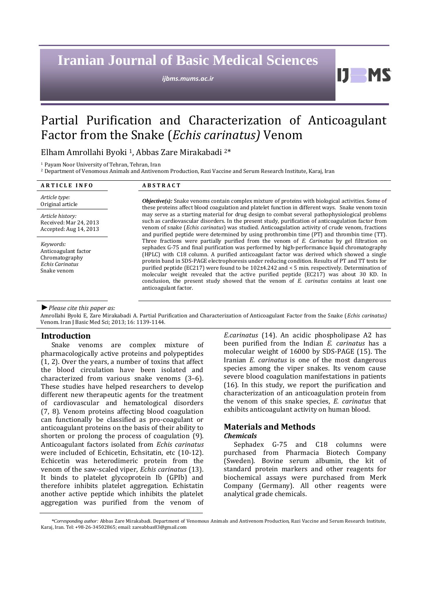# **Iranian Journal of Basic Medical Sciences**

*ijbms.mums.ac.ir*

Partial Purification and Characterization of Anticoagulant Factor from the Snake (*Echis carinatus)* Venom

Elham Amrollahi Byoki 1, Abbas Zare Mirakabadi 2\*

<sup>1</sup> Payam Noor University of Tehran, Tehran, Iran

<sup>2</sup> Department of Venomous Animals and Antivenom Production, Razi Vaccine and Serum Research Institute, Karaj, Iran

| <b>ARTICLE INFO</b>                                                                          | <b>ABSTRACT</b>                                                                                                                                                                                                                                                                                                                                                                                                                                                                                                                                                                                                                                                                                                             |  |  |
|----------------------------------------------------------------------------------------------|-----------------------------------------------------------------------------------------------------------------------------------------------------------------------------------------------------------------------------------------------------------------------------------------------------------------------------------------------------------------------------------------------------------------------------------------------------------------------------------------------------------------------------------------------------------------------------------------------------------------------------------------------------------------------------------------------------------------------------|--|--|
| Article type:<br>Original article                                                            | <b><i>Objective(s)</i></b> : Snake venoms contain complex mixture of proteins with biological activities. Some of<br>these proteins affect blood coagulation and platelet function in different ways. Snake venom toxin                                                                                                                                                                                                                                                                                                                                                                                                                                                                                                     |  |  |
| Article history:<br>Received: Mar 24, 2013<br>Accepted: Aug 14, 2013                         | may serve as a starting material for drug design to combat several pathophysiological problems<br>such as cardiovascular disorders. In the present study, purification of anticoagulation factor from<br>venom of snake (Echis carinatus) was studied. Anticoagulation activity of crude venom, fractions<br>and purified peptide were determined by using prothrombin time (PT) and thrombin time (TT).                                                                                                                                                                                                                                                                                                                    |  |  |
| Keywords:<br>Anticoagulant factor<br>Chromatography<br><b>Echis Carinatus</b><br>Snake venom | Three fractions were partially purified from the venom of E. Carinatus by gel filtration on<br>sephadex G-75 and final purification was performed by high-performance liquid chromatography<br>(HPLC) with C18 column. A purified anticoagulant factor was derived which showed a single<br>protein band in SDS-PAGE electrophoresis under reducing condition. Results of PT and TT tests for<br>purified peptide (EC217) were found to be $102\pm4.242$ and $\lt$ 5 min. respectively. Determination of<br>molecular weight revealed that the active purified peptide (EC217) was about 30 KD. In<br>conclusion, the present study showed that the venom of $E$ , carinatus contains at least one<br>anticoagulant factor. |  |  |

#### *►Please cite this paper as:*

Amrollahi Byoki E, Zare Mirakabadi A. Partial Purification and Characterization of Anticoagulant Factor from the Snake (*Echis carinatus)* Venom*.* Iran J Basic Med Sci; 2013; 16: 1139-1144.

### **Introduction**

Snake venoms are complex mixture of pharmacologically active proteins and polypeptides (1, 2). Over the years, a number of toxins that affect the blood circulation have been isolated and characterized from various snake venoms (3–6). These studies have helped researchers to develop different new therapeutic agents for the treatment of cardiovascular and hematological disorders (7, 8). Venom proteins affecting blood coagulation can functionally be classified as pro-coagulant or anticoagulant proteins on the basis of their ability to shorten or prolong the process of coagulation (9). Anticoagulant factors isolated from *Echis carinatus* were included of Echicetin, Echsitatin, etc (10-12). Echicetin was heterodimeric protein from the venom of the saw-scaled viper*, Echis carinatus* (13). It binds to platelet glycoprotein Ib (GPIb) and therefore inhibits platelet aggregation. Echistatin another active peptide which inhibits the platelet aggregation was purified from the venom of *E.carinatus* (14). An acidic phospholipase A2 has been purified from the Indian *E. carinatus* has a molecular weight of 16000 by SDS-PAGE (15). The Iranian *E. carinatus* is one of the most dangerous species among the viper snakes. Its venom cause severe blood coagulation manifestations in patients (16). In this study, we report the purification and characterization of an anticoagulation protein from the venom of this snake species, *E. carinatus* that exhibits anticoagulant activity on human blood.

И.

## **Materials and Methods** *Chemicals*

Sephadex G-75 and C18 columns were purchased from Pharmacia Biotech Company (Sweden). Bovine serum albumin, the kit of standard protein markers and other reagents for biochemical assays were purchased from Merk Company (Germany). All other reagents were analytical grade chemicals.

*<sup>\*</sup>Corresponding author:* Abbas Zare Mirakabadi. Department of Venomous Animals and Antivenom Production, Razi Vaccine and Serum Research Institute, Karaj, Iran. Tel: +98-26-34502865; email[: zareabbas83@gmail.com](mailto:zareabbas83@gmail.com)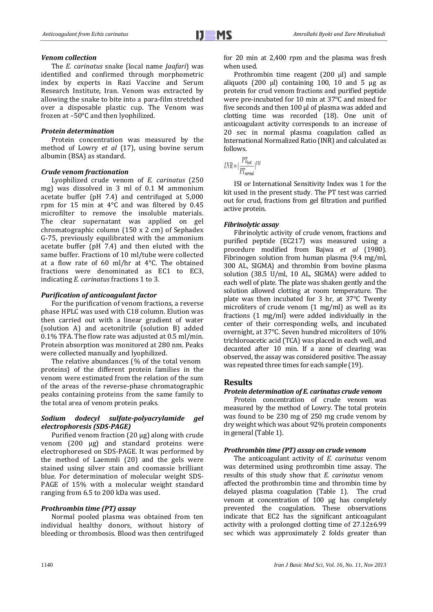# *Venom collection*

The *E. carinatus* snake (local name *Jaafari*) was identified and confirmed through morphometric index by experts in Razi Vaccine and Serum Research Institute, Iran. Venom was extracted by allowing the snake to bite into a para-film stretched over a disposable plastic cup. The Venom was frozen at –50°C and then lyophilized.

#### *Protein determination*

Protein concentration was measured by the method of Lowry *et al* (17), using bovine serum albumin (BSA) as standard.

#### *Crude venom fractionation*

Lyophilized crude venom of *E. carinatus* (250 mg) was dissolved in 3 ml of 0.1 M ammonium acetate buffer (pH 7.4) and centrifuged at 5,000 rpm for 15 min at 4°C and was filtered by 0.45 microfilter to remove the insoluble materials. The clear supernatant was applied on gel chromatographic column (150 x 2 cm) of Sephadex G-75, previously equilibrated with the ammonium acetate buffer (pH 7.4) and then eluted with the same buffer. Fractions of 10 ml/tube were collected at a flow rate of 60 ml/hr at 4°C. The obtained fractions were denominated as EC1 to EC3, indicating *E. carinatus* fractions 1 to 3.

#### *Purification of anticoagulant factor*

For the purification of venom fractions, a reverse phase HPLC was used with C18 column. Elution was then carried out with a linear gradient of water (solution A) and acetonitrile (solution B) added 0.1% TFA. The flow rate was adjusted at 0.5 ml/min. Protein absorption was monitored at 280 nm. Peaks were collected manually and lyophilized.

The relative abundances (% of the total venom proteins) of the different protein families in the venom were estimated from the relation of the sum of the areas of the reverse-phase chromatographic peaks containing proteins from the same family to the total area of venom protein peaks.

## *Sodium dodecyl sulfate-polyacrylamide gel electrophoresis (SDS-PAGE)*

Purified venom fraction (20 μg) along with crude venom (200 μg) and standard proteins were electrophoresed on SDS-PAGE. It was performed by the method of Laemmli (20) and the gels were stained using silver stain and coomassie brilliant blue. For determination of molecular weight SDS-PAGE of 15% with a molecular weight standard ranging from 6.5 to 200 kDa was used.

#### *Prothrombin time (PT) assay*

Normal pooled plasma was obtained from ten individual healthy donors, without history of bleeding or thrombosis. Blood was then centrifuged for 20 min at 2,400 rpm and the plasma was fresh when used.

Prothrombin time reagent (200 μl) and sample aliquots (200 μl) containing 100, 10 and 5 μg as protein for crud venom fractions and purified peptide were pre-incubated for 10 min at 37°C and mixed for five seconds and then 100 μl of plasma was added and clotting time was recorded (18). One unit of anticoagulant activity corresponds to an increase of 20 sec in normal plasma coagulation called as International Normalized Ratio (INR) and calculated as follows.

 $INR = (\frac{PT_{test}}{PT_{normal}})^{ISI}$ 

ISI or International Sensitivity Index was 1 for the kit used in the present study. The PT test was carried out for crud, fractions from gel filtration and purified active protein.

#### *Fibrinolytic assay*

Fibrinolytic activity of crude venom, fractions and purified peptide (EC217) was measured using a procedure modified from Bajwa *et al* (1980). Fibrinogen solution from human plasma (9.4 mg/ml, 300 AL, SIGMA) and thrombin from bovine plasma solution (38.5 U/ml, 10 AL, SIGMA) were added to each well of plate. The plate was shaken gently and the solution allowed clotting at room temperature. The plate was then incubated for 3 hr, at 37°C Twenty microliters of crude venom (1 mg/ml) as well as its fractions (1 mg/ml) were added individually in the center of their corresponding wells, and incubated overnight, at 37°C. Seven hundred microliters of 10% trichloroacetic acid (TCA) was placed in each well, and decanted after 10 min. If a zone of clearing was observed, the assay was considered positive. The assay was repeated three times for each sample (19).

### **Results**

#### *Protein determination of E. carinatus crude venom*

Protein concentration of crude venom was measured by the method of Lowry. The total protein was found to be 230 mg of 250 mg crude venom by dry weight which was about 92% protein components in general (Table 1).

#### *Prothrombin time (PT) assay on crude venom*

The anticoagulant activity of *E. carinatus* venom was determined using prothrombin time assay. The results of this study show that *E. carinatus* venom affected the prothrombin time and thrombin time by delayed plasma coagulation (Table 1). The crud venom at concentration of 100 µg has completely prevented the coagulation. These observations indicate that EC2 has the significant anticoagulant activity with a prolonged clotting time of 27.12±6.99 sec which was approximately 2 folds greater than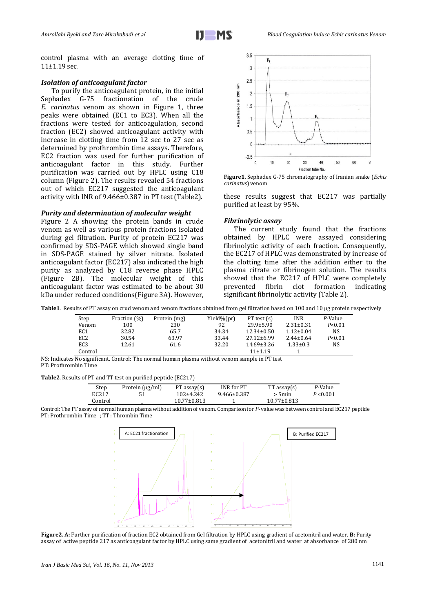control plasma with an average clotting time of 11±1.19 sec.

### *Isolation of anticoagulant factor*

To purify the anticoagulant protein, in the initial Sephadex G-75 fractionation of the crude *E. carinatus* venom as shown in Figure 1, three peaks were obtained (EC1 to EC3). When all the fractions were tested for anticoagulation, second fraction (EC2) showed anticoagulant activity with increase in clotting time from 12 sec to 27 sec as determined by prothrombin time assays. Therefore, EC2 fraction was used for further purification of anticoagulant factor in this study. Further purification was carried out by HPLC using C18 column (Figure 2). The results revealed 54 fractions out of which EC217 suggested the anticoagulant activity with INR of 9.466±0.387 in PT test (Table2).

### *Purity and determination of molecular weight*

Figure 2 A showing the protein bands in crude venom as well as various protein fractions isolated during gel filtration. Purity of protein EC217 was confirmed by SDS-PAGE which showed single band in SDS-PAGE stained by silver nitrate. Isolated anticoagulant factor (EC217) also indicated the high purity as analyzed by C18 reverse phase HPLC (Figure 2B). The molecular weight of this anticoagulant factor was estimated to be about 30 kDa under reduced conditions(Figure 3A). However,



**Figure1.** Sephadex G-75 chromatography of Iranian snake (*Echis carinatus*) venom

these results suggest that EC217 was partially purified at least by 95%.

## *Fibrinolytic assay*

The current study found that the fractions obtained by HPLC were assayed considering fibrinolytic activity of each fraction. Consequently, the EC217 of HPLC was demonstrated by increase of the clotting time after the addition either to the plasma citrate or fibrinogen solution. The results showed that the EC217 of HPLC were completely prevented fibrin clot formation indicating significant fibrinolytic activity (Table 2).

|  |  |  | Table1. Results of PT assay on crud venom and venom fractions obtained from gel filtration based on 100 and 10 µg protein respectively |  |  |
|--|--|--|----------------------------------------------------------------------------------------------------------------------------------------|--|--|
|--|--|--|----------------------------------------------------------------------------------------------------------------------------------------|--|--|

| Step            | Fraction (%) | Protein (mg) | Yield%(pr) | $PT$ test $(s)$  | <b>INR</b>      | P-Value  |
|-----------------|--------------|--------------|------------|------------------|-----------------|----------|
| Venom           | 100          | 230          | 92         | $29.9 \pm 5.90$  | $2.31 \pm 0.31$ | P < 0.01 |
| EC1             | 32.82        | 65.7         | 34.34      | $12.34 \pm 0.50$ | $1.12 \pm 0.04$ | NS.      |
| EC <sub>2</sub> | 30.54        | 63.97        | 33.44      | 27.12±6.99       | $2.44 \pm 0.64$ | P < 0.01 |
| EC <sub>3</sub> | 12.61        | 61.6         | 32.20      | $14.69 \pm 3.26$ | $1.33 \pm 0.3$  | NS       |
| Control         |              |              |            | 11±1.19          |                 |          |

NS: Indicates No significant. Control: The normal human plasma without venom sample in PT test PT: Prothrombin Time

**Table2**. Results of PT and TT test on purified peptide (EC217)

| Step              | Protein (µg/ml) | $PT$ assay $(s)$  | INR for PT        | $TT$ assay $(s)$  | P-Value   |
|-------------------|-----------------|-------------------|-------------------|-------------------|-----------|
| EC <sub>217</sub> |                 | 102±4.242         | $9.466 \pm 0.387$ | $> 5$ min         | P < 0.001 |
| Control           |                 | $10.77 \pm 0.813$ |                   | $10.77 \pm 0.813$ |           |
|                   |                 |                   |                   |                   |           |

Control: The PT assay of normal human plasma without addition of venom. Comparison for *P-* value was between control and EC217 peptide PT: Prothrombin Time ; TT : Thrombin Time



**Figure2. A:** Further purification of fraction EC2 obtained from Gel filtration by HPLC using gradient of acetonitril and water. **B:** Purity assay of active peptide 217 as anticoagulant factor by HPLC using same gradient of acetonitril and water at absorbance of 280 nm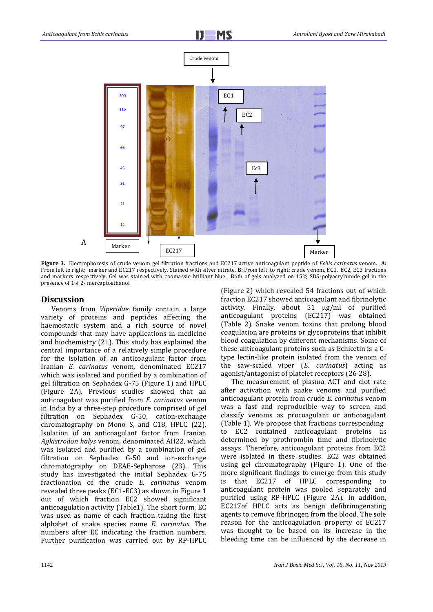

**Figure 3.** Electrophoresis of crude venom gel filtration fractions and EC217 active anticoagulant peptide of *Echis carinatus* venom. **A:** From left to right; marker and EC217 respectively. Stained with silver nitrate. **B:** From left to right; crude venom, EC1, EC2, EC3 fractions and markers respectively. Gel was stained with coomassie brilliant blue. Both of gels analyzed on 15% SDS-polyacrylamide gel in the presence of 1% 2- mercaptoethanol

# **Discussion**

Venoms from *Viperidae* family contain a large variety of proteins and peptides affecting the haemostatic system and a rich source of novel compounds that may have applications in medicine and biochemistry (21). This study has explained the central importance of a relatively simple procedure for the isolation of an anticoagulant factor from Iranian *E. carinatus* venom, denominated EC217 which was isolated and purified by a combination of gel filtration on Sephadex G-75 (Figure 1) and HPLC (Figure 2A). Previous studies showed that an anticoagulant was purified from *E. carinatus* venom in India by a three-step procedure comprised of gel filtration on Sephadex G-50, cation-exchange chromatography on Mono S, and C18, HPLC (22). Isolation of an anticoagulant factor from Iranian *Agkistrodon halys* venom, denominated AH22, which was isolated and purified by a combination of gel filtration on Sephadex G-50 and ion-exchange chromatography on DEAE-Sepharose (23). This study has investigated the initial Sephadex G-75 fractionation of the crude *E. carinatus* venom revealed three peaks (EC1-EC3) as shown in Figure 1 out of which fraction EC2 showed significant anticoagulation activity (Table1). The short form, EC was used as name of each fraction taking the first alphabet of snake species name *E. carinatus.* The numbers after EC indicating the fraction numbers. Further purification was carried out by RP-HPLC (Figure 2) which revealed 54 fractions out of which fraction EC217 showed anticoagulant and fibrinolytic activity. Finally, about 51 μg/ml of purified anticoagulant proteins (EC217) was obtained (Table 2). Snake venom toxins that prolong blood coagulation are proteins or glycoproteins that inhibit blood coagulation by different mechanisms. Some of these anticoagulant proteins such as Echicetin is a Ctype lectin-like protein isolated from the venom of the saw-scaled viper (*E. carinatus*) acting as agonist/antagonist of platelet receptors (26-28).

The measurement of plasma ACT and clot rate after activation with snake venoms and purified anticoagulant protein from crude *E. carinatus* venom was a fast and reproducible way to screen and classify venoms as procoagulant or anticoagulant (Table 1). We propose that fractions corresponding to EC2 contained anticoagulant proteins as determined by prothrombin time and fibrinolytic assays. Therefore, anticoagulant proteins from EC2 were isolated in these studies. EC2 was obtained using gel chromatography (Figure 1). One of the more significant findings to emerge from this study is that EC217 of HPLC corresponding to anticoagulant protein was pooled separately and purified using RP-HPLC (Figure 2A). In addition, EC217of HPLC acts as benign defibrinogenating agents to remove fibrinogen from the blood. The sole reason for the anticoagulation property of EC217 was thought to be based on its increase in the bleeding time can be influenced by the decrease in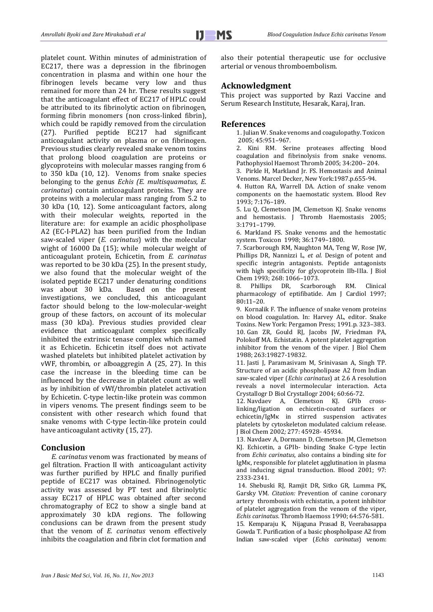platelet count. Within minutes of administration of EC217, there was a depression in the fibrinogen concentration in plasma and within one hour the fibrinogen levels became very low and thus remained for more than 24 hr. These results suggest that the anticoagulant effect of EC217 of HPLC could be attributed to its fibrinolytic action on fibrinogen, forming fibrin monomers (non cross-linked fibrin), which could be rapidly removed from the circulation (27). Purified peptide EC217 had significant anticoagulant activity on plasma or on fibrinogen. Previous studies clearly revealed snake venom toxins that prolong blood coagulation are proteins or glycoproteins with molecular masses ranging from 6 to 350 kDa (10, 12). Venoms from snake species belonging to the genus *Echis (E. multisquamatus, E. carinatus*) contain anticoagulant proteins. They are proteins with a molecular mass ranging from 5.2 to 30 kDa (10, 12). Some anticoagulant factors, along with their molecular weights, reported in the literature are: for example an acidic phospholipase A2 (EC-I-PLA2) has been purified from the Indian saw-scaled viper (*E. carinatus*) with the molecular wight of 16000 Da (15); while molecular weight of anticoagulant protein, Echicetin, from *E. carinatus* was reported to be 30 kDa (25)*.* In the present study, we also found that the molecular weight of the isolated peptide EC217 under denaturing conditions was about 30 kDa. Based on the present investigations, we concluded, this anticoagulant factor should belong to the low-molecular-weight group of these factors, on account of its molecular mass (30 kDa). Previous studies provided clear evidence that anticoagulant complex specifically inhibited the extrinsic tenase complex which named it as Echicetin. Echicetin itself does not activate washed platelets but inhibited platelet activation by vWF, thrombin, or alboaggregin A (25, 27). In this case the increase in the bleeding time can be influenced by the decrease in platelet count as well as by inhibition of vWf/thrombin platelet activation by Echicetin. C-type lectin-like protein was common in vipers venoms. The present findings seem to be consistent with other research which found that snake venoms with C-type lectin-like protein could have anticoagulant activity (15, 27).

# **Conclusion**

*E. carinatus* venom was fractionated by means of gel filtration. Fraction II with anticoagulant activity was further purified by HPLC and finally purified peptide of EC217 was obtained. Fibrinogenolytic activity was assessed by PT test and fibrinolytic assay EC217 of HPLC was obtained after second chromatography of EC2 to show a single band at approximately 30 kDA regions. The following conclusions can be drawn from the present study that the venom of *E. carinatus* venom effectively inhibits the coagulation and fibrin clot formation and also their potential therapeutic use for occlusive arterial or venous thromboembolism.

# **Acknowledgment**

This project was supported by Razi Vaccine and Serum Research Institute, Hesarak, Karaj, Iran.

## **References**

1. Julian W. Snake venoms and coagulopathy. Toxicon 2005; 45:951–967.

2. Kini RM. Serine proteases affecting blood coagulation and fibrinolysis from snake venoms. Pathophysiol Haemost Thromb 2005; 34:200– 204.

3. Pirkle H, Markland Jr. FS. Hemostasis and Animal Venoms. Marcel Decker, New York:1987.p.655-94.

4. Hutton RA, Warrell DA. Action of snake venom components on the haemostatic system. Blood Rev 1993; 7:176–189.

5. Lu Q, Clemetson JM, Clemetson KJ. Snake venoms and hemostasis. J Thromb Haemostasis 2005; 3:1791–1799.

6. Markland FS. Snake venoms and the hemostatic system. Toxicon 1998; 36:1749–1800.

7. Scarborough RM, Naughton MA, Teng W, Rose JW, Phillips DR, Nannizzi L, *et al.* Design of potent and specific integrin antagonists. Peptide antagonists with high specificity for glycoprotein IIb-IIIa. J Biol Chem 1993; 268: 1066–1073.

8. Phillips DR, Scarborough RM. Clinical pharmacology of eptifibatide. Am J Cardiol 1997; 80**:**11–20.

9. Kornalik F. The influence of snake venom proteins on blood coagulation. In: Harvey AL, editor. Snake Toxins. New York: Pergamon Press; 1991.p. 323–383. 10. Gan ZR, Gould RJ, Jacobs JW, Friedman PA, Polokoff MA. [Echistatin. A potent platelet aggregation](http://www.mendeley.com/research/echistatin-a-potent-platelet-aggregation-inhibitor-from-the-venom-of-the-viper-echis-carinatus/)  [inhibitor from the venom of the viper.](http://www.mendeley.com/research/echistatin-a-potent-platelet-aggregation-inhibitor-from-the-venom-of-the-viper-echis-carinatus/) J Biol Chem 1988; 263:19827-19832.

11. Jasti J, Paramasivam M, Srinivasan A, Singh TP. Structure of an acidic phospholipase A2 from Indian saw-scaled viper (*Echis carinatus*) at 2.6 A resolution reveals a novel intermolecular interaction. Acta Crystallogr D Biol Crystallogr 2004; 60:66-72.

12. Navdaev A, Clemetson KJ. GPIb crosslinking/ligation on echicetin-coated surfaces or echicetin/IgMκ in stirred suspension activates platelets by cytoskeleton modulated calcium release. J Biol Chem 2002*;* 277: 45928- 95434.

13. Navdaev A, Dormann D, Clemetson JM, Clemetson KJ. Echicetin, a GPIb- binding Snake C-type lectin from *Echis carinatus*, also contains a binding site for IgMκ, responsible for platelet agglutination in plasma and inducing signal transduction. Blood 2001; 97: 2333-2341.

14. Shebuski RJ*,* Ramjit DR*,* Sitko GR*,* Lumma PK*,*  Garsky VM*. Citation:* [Prevention of canine coronary](http://www.mendeley.com/research/prevention-of-canine-coronary-artery-thrombosis-with-echistatin-a-potent-inhibitor-of-platelet-aggregation-from-the-venom-of-the-viper-echis-carinatus/)  [artery thrombosis with echistatin, a potent inhibitor](http://www.mendeley.com/research/prevention-of-canine-coronary-artery-thrombosis-with-echistatin-a-potent-inhibitor-of-platelet-aggregation-from-the-venom-of-the-viper-echis-carinatus/)  [of platelet aggregation from the venom of the viper,](http://www.mendeley.com/research/prevention-of-canine-coronary-artery-thrombosis-with-echistatin-a-potent-inhibitor-of-platelet-aggregation-from-the-venom-of-the-viper-echis-carinatus/)  *[Echis carinatus](http://www.mendeley.com/research/prevention-of-canine-coronary-artery-thrombosis-with-echistatin-a-potent-inhibitor-of-platelet-aggregation-from-the-venom-of-the-viper-echis-carinatus/)*. Thromb Haemoss 1990; 64:576-581.

15. Kemparaju K, Nijaguna Prasad B, Veerabasappa Gowda T[. Purification of a basic phospholipase A2 from](http://www.mendeley.com/research/purification-basic-phospholipase-a2-indian-sawscaled-viper-echis-carinatus-venom-characterization-antigenic-catalytic-pharmacological-properties/)  [Indian saw-scaled viper \(](http://www.mendeley.com/research/purification-basic-phospholipase-a2-indian-sawscaled-viper-echis-carinatus-venom-characterization-antigenic-catalytic-pharmacological-properties/)*Echis carinatus*) venom: